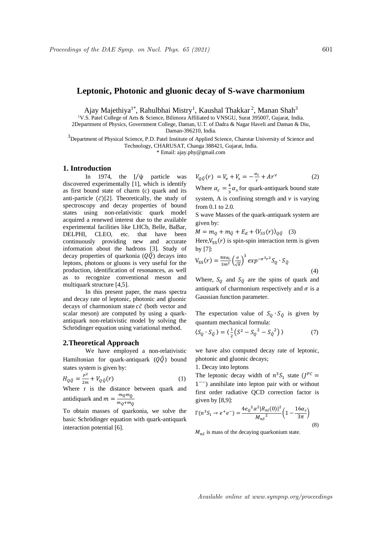# **Leptonic, Photonic and gluonic decay of S-wave charmonium**

Ajay Majethiya<sup>1\*</sup>, Rahulbhai Mistry<sup>1</sup>, Kaushal Thakkar<sup>2</sup>, Manan Shah<sup>3</sup>

<sup>1</sup>V.S. Patel College of Arts & Science, Bilimora Affiliated to VNSGU, Surat 395007, Gujarat, India.

2Department of Physics, Government College, Daman, U.T. of Dadra & Nagar Haveli and Daman & Diu,

Daman-396210, India.

<sup>3</sup>Department of Physical Science, P.D. Patel Institute of Applied Science, Charotar University of Science and Technology, CHARUSAT, Changa 388421, Gujarat, India.

\* Email: ajay.phy@gmail.com

# **1. Introduction**

In 1974, the J⁄ψ particle was discovered experimentally [1], which is identify as first bound state of charm (c) quark and its anti-particle  $(\bar{c})$ [2]. Theoretically, the study of spectroscopy and decay properties of bound states using non-relativistic quark model acquired a renewed interest due to the available experimental facilities like LHCb, Belle, BaBar, DELPHI, CLEO, etc. that have been continuously providing new and accurate information about the hadrons [3]. Study of decay properties of quarkonia  $(Q\overline{Q})$  decays into leptons, photons or gluons is very useful for the production, identification of resonances, as well as to recognize conventional meson and multiquark structure [4,5].

In this present paper, the mass spectra and decay rate of leptonic, photonic and gluonic decays of charmonium state  $c\bar{c}$  (both vector and scalar meson) are computed by using a quarkantiquark non-relativistic model by solving the Schrödinger equation using variational method.

#### **2.Theoretical Approach**

We have employed a non-relativistic Hamiltonian for quark-antiquark  $(Q\overline{Q})$  bound states system is given by:

$$
H_{Q\bar{Q}} = \frac{P^2}{2m} + V_{Q\bar{Q}}(r)
$$
 (1)

Where r is the distance between quark and antidiquark and  $m = \frac{m_Q m_{\overline{Q}}}{m}$  $\frac{m_Q m_Q}{m_Q + m_{\overline{Q}}}$ 

To obtain masses of quarkonia, we solve the basic Schrödinger equation with quark-antiquark interaction potential [6].

$$
V_{Q\bar{Q}}(r) = V_v + V_s = -\frac{\alpha_c}{r} + Ar^{\nu}
$$
 (2)

Where  $\alpha_c = \frac{4}{3}$  $\frac{4}{3}\alpha_s$  for quark-antiquark bound state system, A is confining strength and  $\nu$  is varying from 0.1 to 2.0.

S wave Masses of the quark-antiquark system are given by:

 $M = m_{0} + m_{\bar{0}} + E_{d} + \langle V_{SS}(r) \rangle_{0\bar{0}}$  (3)

Here, $V_{SS}(r)$  is spin-spin interaction term is given by [7]:

$$
V_{SS}(r) = \frac{8\pi\alpha_c}{3m^2} \left(\frac{\sigma}{\sqrt{\pi}}\right)^3 \exp^{-\sigma^3 r^2} S_Q \cdot S_{\bar{Q}}
$$
\n(4)

Where,  $S_0$  and  $S_{\overline{0}}$  are the spins of quark and antiquark of charmonium respectively and  $\sigma$  is a Gaussian function parameter.

The expectation value of  $S_0 \cdot S_{\overline{0}}$  is given by quantum mechanical formula:

$$
\langle S_Q \cdot S_{\overline{Q}} \rangle = \langle \frac{1}{2} \left( S^2 - S_Q^2 - S_{\overline{Q}}^2 \right) \rangle \tag{7}
$$

we have also computed decay rate of leptonic, photonic and gluonic decays;

1. Decay into leptons

The leptonic decay width of  $n^3S_1$  state  $(J^{PC})$ 1<sup>--</sup>) annihilate into lepton pair with or without first order radiative QCD correction factor is given by [8,9]:

$$
\Gamma(n^3 S_1 \to e^+ e^-) = \frac{4e_Q^2 \alpha^2 |R_{nl}(0)|^2}{M_{nS}^2} \left(1 - \frac{16\alpha_S}{3\pi}\right)
$$
\n(8)

 $M_{nS}$  is mass of the decaying quarkonium state.

Available online at www.sympnp.org/proceedings